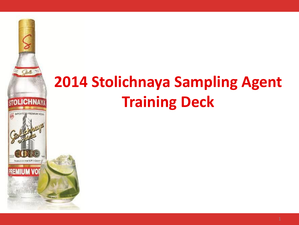

# **2014 Stolichnaya Sampling Agent Training Deck**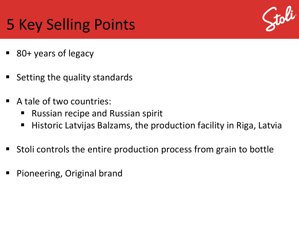## 5 Key Selling Points



- 80+ years of legacy
- Setting the quality standards
- A tale of two countries:
	- **Russian recipe and Russian spirit**
	- Historic Latvijas Balzams, the production facility in Riga, Latvia
- Stoli controls the entire production process from grain to bottle
- Pioneering, Original brand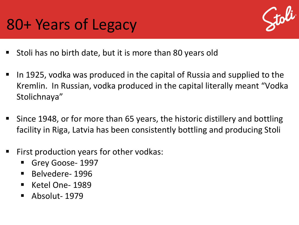### 80+ Years of Legacy



- **Stoli has no birth date, but it is more than 80 years old**
- In 1925, vodka was produced in the capital of Russia and supplied to the Kremlin. In Russian, vodka produced in the capital literally meant "Vodka Stolichnaya"
- Since 1948, or for more than 65 years, the historic distillery and bottling facility in Riga, Latvia has been consistently bottling and producing Stoli
- First production years for other vodkas:
	- Grey Goose- 1997
	- Belvedere-1996
	- $\blacksquare$  Ketel One-1989
	- Absolut-1979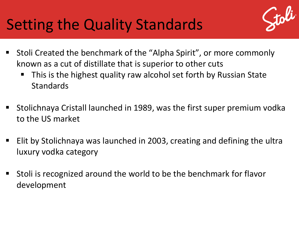### Setting the Quality Standards



- Stoli Created the benchmark of the "Alpha Spirit", or more commonly known as a cut of distillate that is superior to other cuts
	- This is the highest quality raw alcohol set forth by Russian State **Standards**
- **Stolichnaya Cristall launched in 1989, was the first super premium vodka** to the US market
- Elit by Stolichnaya was launched in 2003, creating and defining the ultra luxury vodka category
- Stoli is recognized around the world to be the benchmark for flavor development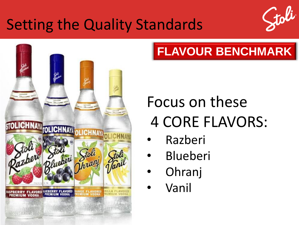#### Setting the Quality Standards





#### **FLAVOUR BENCHMARK**

# Focus on these 4 CORE FLAVORS:

- Razberi
- **Blueberi**
- Ohranj
- Vanil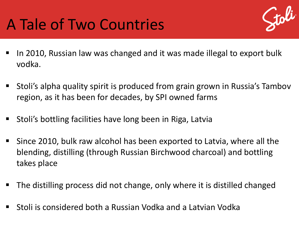## A Tale of Two Countries



- In 2010, Russian law was changed and it was made illegal to export bulk vodka.
- Stoli's alpha quality spirit is produced from grain grown in Russia's Tambov region, as it has been for decades, by SPI owned farms
- Stoli's bottling facilities have long been in Riga, Latvia
- Since 2010, bulk raw alcohol has been exported to Latvia, where all the blending, distilling (through Russian Birchwood charcoal) and bottling takes place
- The distilling process did not change, only where it is distilled changed
- Stoli is considered both a Russian Vodka and a Latvian Vodka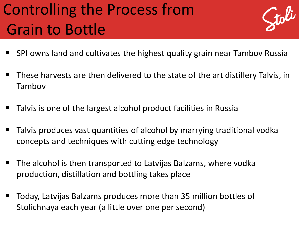# Controlling the Process from Grain to Bottle



- SPI owns land and cultivates the highest quality grain near Tambov Russia
- These harvests are then delivered to the state of the art distillery Talvis, in Tambov
- Talvis is one of the largest alcohol product facilities in Russia
- Talvis produces vast quantities of alcohol by marrying traditional vodka concepts and techniques with cutting edge technology
- The alcohol is then transported to Latvijas Balzams, where vodka production, distillation and bottling takes place
- Today, Latvijas Balzams produces more than 35 million bottles of Stolichnaya each year (a little over one per second)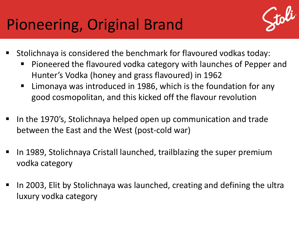## Pioneering, Original Brand



- Stolichnaya is considered the benchmark for flavoured vodkas today:
	- Pioneered the flavoured vodka category with launches of Pepper and Hunter's Vodka (honey and grass flavoured) in 1962
	- Limonaya was introduced in 1986, which is the foundation for any good cosmopolitan, and this kicked off the flavour revolution
- In the 1970's, Stolichnaya helped open up communication and trade between the East and the West (post-cold war)
- In 1989, Stolichnaya Cristall launched, trailblazing the super premium vodka category
- In 2003, Elit by Stolichnaya was launched, creating and defining the ultra luxury vodka category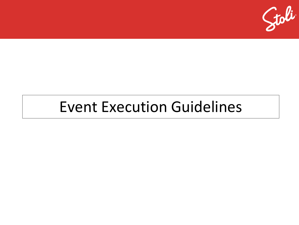

#### Event Execution Guidelines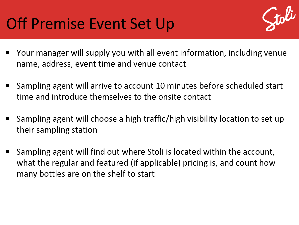#### Off Premise Event Set Up



- Your manager will supply you with all event information, including venue name, address, event time and venue contact
- Sampling agent will arrive to account 10 minutes before scheduled start time and introduce themselves to the onsite contact
- Sampling agent will choose a high traffic/high visibility location to set up their sampling station
- Sampling agent will find out where Stoli is located within the account, what the regular and featured (if applicable) pricing is, and count how many bottles are on the shelf to start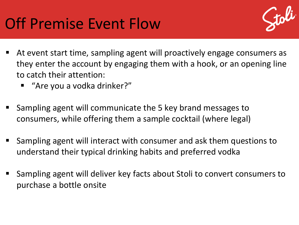

- At event start time, sampling agent will proactively engage consumers as they enter the account by engaging them with a hook, or an opening line to catch their attention:
	- "Are you a vodka drinker?"
- Sampling agent will communicate the 5 key brand messages to consumers, while offering them a sample cocktail (where legal)
- Sampling agent will interact with consumer and ask them questions to understand their typical drinking habits and preferred vodka
- Sampling agent will deliver key facts about Stoli to convert consumers to purchase a bottle onsite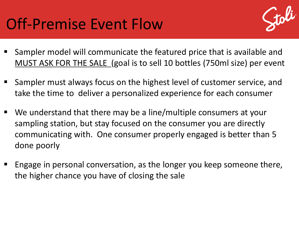#### Off-Premise Event Flow



- Sampler model will communicate the featured price that is available and MUST ASK FOR THE SALE (goal is to sell 10 bottles (750ml size) per event
- Sampler must always focus on the highest level of customer service, and take the time to deliver a personalized experience for each consumer
- We understand that there may be a line/multiple consumers at your sampling station, but stay focused on the consumer you are directly communicating with. One consumer properly engaged is better than 5 done poorly
- Engage in personal conversation, as the longer you keep someone there, the higher chance you have of closing the sale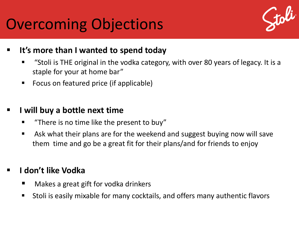#### Overcoming Objections



- **It's more than I wanted to spend today**
	- "Stoli is THE original in the vodka category, with over 80 years of legacy. It is a staple for your at home bar"
	- Focus on featured price (if applicable)

#### **I will buy a bottle next time**

- **There is no time like the present to buy"**
- Ask what their plans are for the weekend and suggest buying now will save them time and go be a great fit for their plans/and for friends to enjoy

#### **I don't like Vodka**

- Makes a great gift for vodka drinkers
- Stoli is easily mixable for many cocktails, and offers many authentic flavors